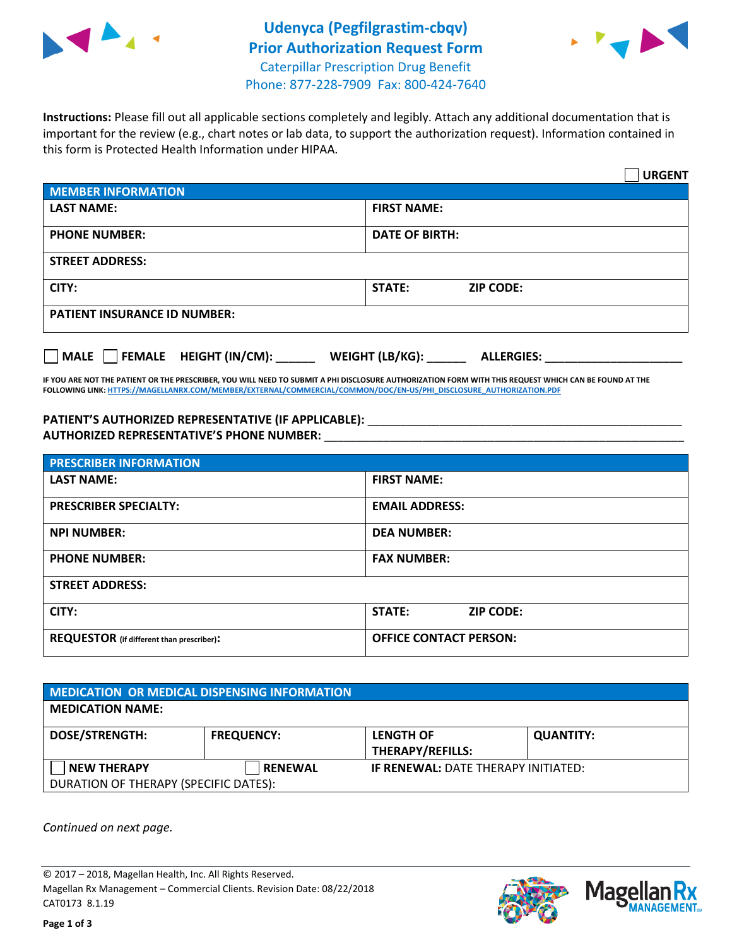

## **Udenyca (Pegfilgrastim-cbqv) Prior Authorization Request Form** Caterpillar Prescription Drug Benefit



Phone: 877-228-7909 Fax: 800-424-7640

**Instructions:** Please fill out all applicable sections completely and legibly. Attach any additional documentation that is important for the review (e.g., chart notes or lab data, to support the authorization request). Information contained in this form is Protected Health Information under HIPAA.

|                                           | <b>URGENT</b>                        |  |  |  |
|-------------------------------------------|--------------------------------------|--|--|--|
| <b>MEMBER INFORMATION</b>                 |                                      |  |  |  |
| <b>LAST NAME:</b>                         | <b>FIRST NAME:</b>                   |  |  |  |
| <b>PHONE NUMBER:</b>                      | <b>DATE OF BIRTH:</b>                |  |  |  |
| <b>STREET ADDRESS:</b>                    |                                      |  |  |  |
| CITY:                                     | <b>STATE:</b><br><b>ZIP CODE:</b>    |  |  |  |
| <b>PATIENT INSURANCE ID NUMBER:</b>       |                                      |  |  |  |
| $\Box$ FEMALE HEIGHT (IN/CM): _<br>  MALE | WEIGHT (LB/KG):<br><b>ALLERGIES:</b> |  |  |  |

**IF YOU ARE NOT THE PATIENT OR THE PRESCRIBER, YOU WILL NEED TO SUBMIT A PHI DISCLOSURE AUTHORIZATION FORM WITH THIS REQUEST WHICH CAN BE FOUND AT THE FOLLOWING LINK[: HTTPS://MAGELLANRX.COM/MEMBER/EXTERNAL/COMMERCIAL/COMMON/DOC/EN-US/PHI\\_DISCLOSURE\\_AUTHORIZATION.PDF](https://magellanrx.com/member/external/commercial/common/doc/en-us/PHI_Disclosure_Authorization.pdf)**

PATIENT'S AUTHORIZED REPRESENTATIVE (IF APPLICABLE): \_\_\_\_\_\_\_\_\_\_\_\_\_\_\_\_\_\_\_\_\_\_\_\_\_\_\_ **AUTHORIZED REPRESENTATIVE'S PHONE NUMBER:** \_\_\_\_\_\_\_\_\_\_\_\_\_\_\_\_\_\_\_\_\_\_\_\_\_\_\_\_\_\_\_\_\_\_\_\_\_\_\_\_\_\_\_\_\_\_\_\_\_\_\_\_\_\_\_

| <b>PRESCRIBER INFORMATION</b>             |                               |  |  |  |
|-------------------------------------------|-------------------------------|--|--|--|
| <b>LAST NAME:</b>                         | <b>FIRST NAME:</b>            |  |  |  |
| <b>PRESCRIBER SPECIALTY:</b>              | <b>EMAIL ADDRESS:</b>         |  |  |  |
| <b>NPI NUMBER:</b>                        | <b>DEA NUMBER:</b>            |  |  |  |
| <b>PHONE NUMBER:</b>                      | <b>FAX NUMBER:</b>            |  |  |  |
| <b>STREET ADDRESS:</b>                    |                               |  |  |  |
| CITY:                                     | STATE:<br><b>ZIP CODE:</b>    |  |  |  |
| REQUESTOR (if different than prescriber): | <b>OFFICE CONTACT PERSON:</b> |  |  |  |

| <b>MEDICATION OR MEDICAL DISPENSING INFORMATION</b> |                   |                                            |                  |  |  |
|-----------------------------------------------------|-------------------|--------------------------------------------|------------------|--|--|
| <b>MEDICATION NAME:</b>                             |                   |                                            |                  |  |  |
| <b>DOSE/STRENGTH:</b>                               | <b>FREQUENCY:</b> | <b>LENGTH OF</b>                           | <b>QUANTITY:</b> |  |  |
|                                                     |                   | <b>THERAPY/REFILLS:</b>                    |                  |  |  |
| <b>NEW THERAPY</b>                                  | <b>RENEWAL</b>    | <b>IF RENEWAL: DATE THERAPY INITIATED:</b> |                  |  |  |
| DURATION OF THERAPY (SPECIFIC DATES):               |                   |                                            |                  |  |  |

*Continued on next page.*

© 2017 – 2018, Magellan Health, Inc. All Rights Reserved. Magellan Rx Management – Commercial Clients. Revision Date: 08/22/2018 CAT0173 8.1.19



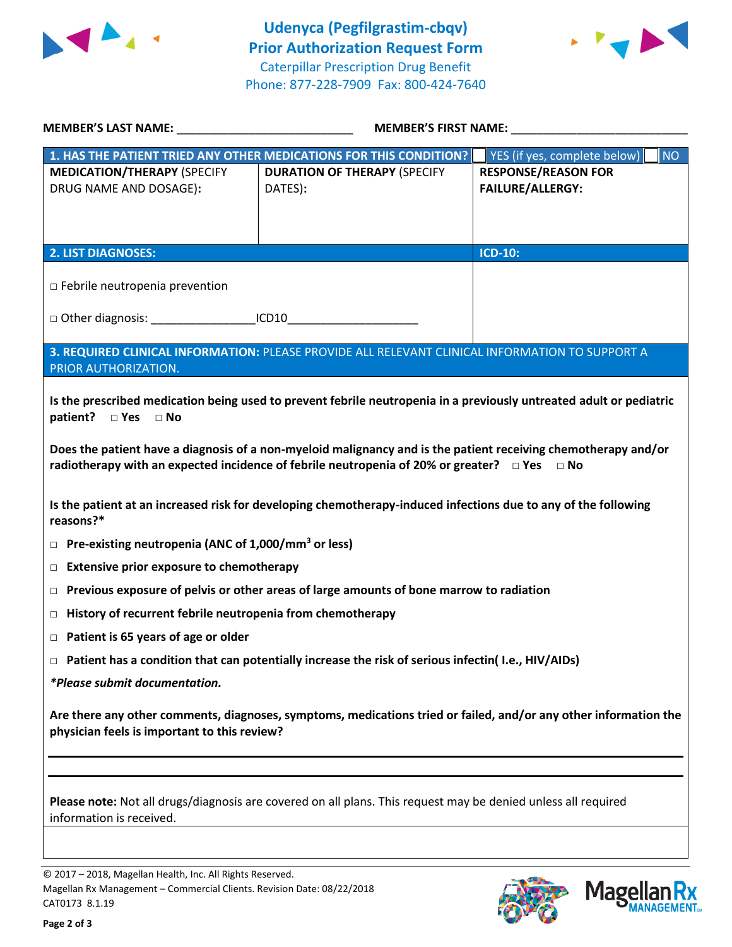



| <b>MEMBER'S LAST NAME:</b> NAME                                                                                                                                  | MEMBER'S FIRST NAME:                                                                                                                                                                                           |                                           |  |  |
|------------------------------------------------------------------------------------------------------------------------------------------------------------------|----------------------------------------------------------------------------------------------------------------------------------------------------------------------------------------------------------------|-------------------------------------------|--|--|
|                                                                                                                                                                  | 1. HAS THE PATIENT TRIED ANY OTHER MEDICATIONS FOR THIS CONDITION?                                                                                                                                             | YES (if yes, complete below)<br><b>NO</b> |  |  |
| <b>MEDICATION/THERAPY (SPECIFY</b>                                                                                                                               | <b>DURATION OF THERAPY (SPECIFY</b>                                                                                                                                                                            | <b>RESPONSE/REASON FOR</b>                |  |  |
| DRUG NAME AND DOSAGE):                                                                                                                                           | DATES):                                                                                                                                                                                                        | <b>FAILURE/ALLERGY:</b>                   |  |  |
|                                                                                                                                                                  |                                                                                                                                                                                                                |                                           |  |  |
| <b>2. LIST DIAGNOSES:</b>                                                                                                                                        |                                                                                                                                                                                                                | <b>ICD-10:</b>                            |  |  |
|                                                                                                                                                                  |                                                                                                                                                                                                                |                                           |  |  |
| $\Box$ Febrile neutropenia prevention                                                                                                                            |                                                                                                                                                                                                                |                                           |  |  |
| □ Other diagnosis: _____________________ICD10__________________________________                                                                                  |                                                                                                                                                                                                                |                                           |  |  |
|                                                                                                                                                                  |                                                                                                                                                                                                                |                                           |  |  |
| PRIOR AUTHORIZATION.                                                                                                                                             | 3. REQUIRED CLINICAL INFORMATION: PLEASE PROVIDE ALL RELEVANT CLINICAL INFORMATION TO SUPPORT A                                                                                                                |                                           |  |  |
|                                                                                                                                                                  |                                                                                                                                                                                                                |                                           |  |  |
| patient?<br>$\Box$ Yes $\Box$ No                                                                                                                                 | Is the prescribed medication being used to prevent febrile neutropenia in a previously untreated adult or pediatric                                                                                            |                                           |  |  |
|                                                                                                                                                                  |                                                                                                                                                                                                                |                                           |  |  |
|                                                                                                                                                                  | Does the patient have a diagnosis of a non-myeloid malignancy and is the patient receiving chemotherapy and/or<br>radiotherapy with an expected incidence of febrile neutropenia of 20% or greater? $\Box$ Yes | $\Box$ No                                 |  |  |
|                                                                                                                                                                  |                                                                                                                                                                                                                |                                           |  |  |
| Is the patient at an increased risk for developing chemotherapy-induced infections due to any of the following<br>reasons?*                                      |                                                                                                                                                                                                                |                                           |  |  |
| Pre-existing neutropenia (ANC of 1,000/mm <sup>3</sup> or less)<br>$\Box$                                                                                        |                                                                                                                                                                                                                |                                           |  |  |
| <b>Extensive prior exposure to chemotherapy</b><br>$\Box$                                                                                                        |                                                                                                                                                                                                                |                                           |  |  |
| $\Box$                                                                                                                                                           | Previous exposure of pelvis or other areas of large amounts of bone marrow to radiation                                                                                                                        |                                           |  |  |
| History of recurrent febrile neutropenia from chemotherapy<br>□                                                                                                  |                                                                                                                                                                                                                |                                           |  |  |
| $\Box$ Patient is 65 years of age or older                                                                                                                       |                                                                                                                                                                                                                |                                           |  |  |
| $\Box$ Patient has a condition that can potentially increase the risk of serious infectin(I.e., HIV/AIDs)                                                        |                                                                                                                                                                                                                |                                           |  |  |
| *Please submit documentation.                                                                                                                                    |                                                                                                                                                                                                                |                                           |  |  |
| Are there any other comments, diagnoses, symptoms, medications tried or failed, and/or any other information the<br>physician feels is important to this review? |                                                                                                                                                                                                                |                                           |  |  |
|                                                                                                                                                                  |                                                                                                                                                                                                                |                                           |  |  |
| Please note: Not all drugs/diagnosis are covered on all plans. This request may be denied unless all required<br>information is received.                        |                                                                                                                                                                                                                |                                           |  |  |
|                                                                                                                                                                  |                                                                                                                                                                                                                |                                           |  |  |

© 2017 – 2018, Magellan Health, Inc. All Rights Reserved. Magellan Rx Management – Commercial Clients. Revision Date: 08/22/2018 CAT0173 8.1.19